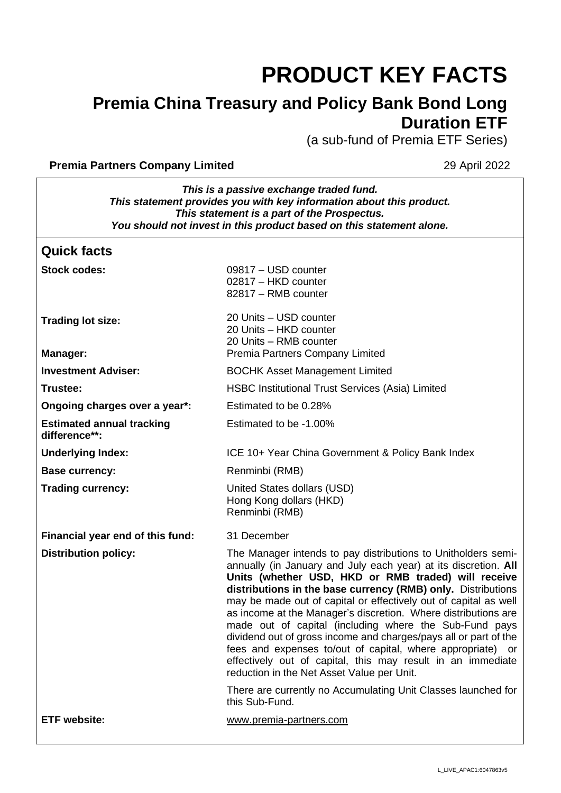# **PRODUCT KEY FACTS**

# **Premia China Treasury and Policy Bank Bond Long Duration ETF**

(a sub-fund of Premia ETF Series)

#### **Premia Partners Company Limited 29 April 2022**

 $\overline{\phantom{a}}$ 

٦

| This is a passive exchange traded fund.<br>This statement provides you with key information about this product.<br>This statement is a part of the Prospectus.<br>You should not invest in this product based on this statement alone. |                                                                                                                                                                                                                                                                                                                                                                                                                                                                                                                                                                                                                                                                                                        |  |
|----------------------------------------------------------------------------------------------------------------------------------------------------------------------------------------------------------------------------------------|--------------------------------------------------------------------------------------------------------------------------------------------------------------------------------------------------------------------------------------------------------------------------------------------------------------------------------------------------------------------------------------------------------------------------------------------------------------------------------------------------------------------------------------------------------------------------------------------------------------------------------------------------------------------------------------------------------|--|
| <b>Quick facts</b>                                                                                                                                                                                                                     |                                                                                                                                                                                                                                                                                                                                                                                                                                                                                                                                                                                                                                                                                                        |  |
| <b>Stock codes:</b>                                                                                                                                                                                                                    | 09817 - USD counter<br>02817 - HKD counter<br>82817 - RMB counter                                                                                                                                                                                                                                                                                                                                                                                                                                                                                                                                                                                                                                      |  |
| <b>Trading lot size:</b><br><b>Manager:</b>                                                                                                                                                                                            | 20 Units - USD counter<br>20 Units - HKD counter<br>20 Units - RMB counter<br>Premia Partners Company Limited                                                                                                                                                                                                                                                                                                                                                                                                                                                                                                                                                                                          |  |
| <b>Investment Adviser:</b>                                                                                                                                                                                                             | <b>BOCHK Asset Management Limited</b>                                                                                                                                                                                                                                                                                                                                                                                                                                                                                                                                                                                                                                                                  |  |
| Trustee:                                                                                                                                                                                                                               | <b>HSBC Institutional Trust Services (Asia) Limited</b>                                                                                                                                                                                                                                                                                                                                                                                                                                                                                                                                                                                                                                                |  |
| Ongoing charges over a year*:                                                                                                                                                                                                          | Estimated to be 0.28%                                                                                                                                                                                                                                                                                                                                                                                                                                                                                                                                                                                                                                                                                  |  |
| <b>Estimated annual tracking</b><br>difference**:                                                                                                                                                                                      | Estimated to be -1.00%                                                                                                                                                                                                                                                                                                                                                                                                                                                                                                                                                                                                                                                                                 |  |
| <b>Underlying Index:</b>                                                                                                                                                                                                               | ICE 10+ Year China Government & Policy Bank Index                                                                                                                                                                                                                                                                                                                                                                                                                                                                                                                                                                                                                                                      |  |
| <b>Base currency:</b>                                                                                                                                                                                                                  | Renminbi (RMB)                                                                                                                                                                                                                                                                                                                                                                                                                                                                                                                                                                                                                                                                                         |  |
| <b>Trading currency:</b>                                                                                                                                                                                                               | United States dollars (USD)<br>Hong Kong dollars (HKD)<br>Renminbi (RMB)                                                                                                                                                                                                                                                                                                                                                                                                                                                                                                                                                                                                                               |  |
| Financial year end of this fund:                                                                                                                                                                                                       | 31 December                                                                                                                                                                                                                                                                                                                                                                                                                                                                                                                                                                                                                                                                                            |  |
| <b>Distribution policy:</b>                                                                                                                                                                                                            | The Manager intends to pay distributions to Unitholders semi-<br>annually (in January and July each year) at its discretion. All<br>Units (whether USD, HKD or RMB traded) will receive<br>distributions in the base currency (RMB) only. Distributions<br>may be made out of capital or effectively out of capital as well<br>as income at the Manager's discretion. Where distributions are<br>made out of capital (including where the Sub-Fund pays<br>dividend out of gross income and charges/pays all or part of the<br>fees and expenses to/out of capital, where appropriate) or<br>effectively out of capital, this may result in an immediate<br>reduction in the Net Asset Value per Unit. |  |
|                                                                                                                                                                                                                                        | There are currently no Accumulating Unit Classes launched for<br>this Sub-Fund.                                                                                                                                                                                                                                                                                                                                                                                                                                                                                                                                                                                                                        |  |
| <b>ETF</b> website:                                                                                                                                                                                                                    | www.premia-partners.com                                                                                                                                                                                                                                                                                                                                                                                                                                                                                                                                                                                                                                                                                |  |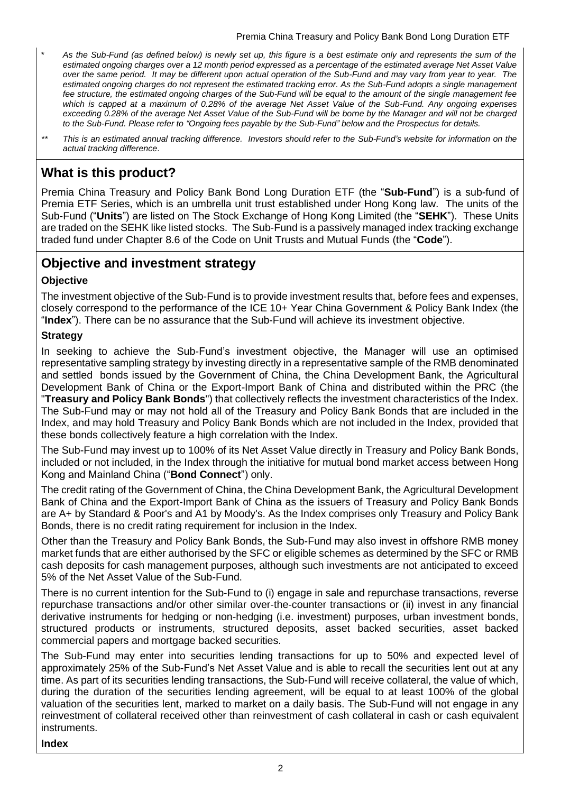- \* *As the Sub-Fund (as defined below) is newly set up, this figure is a best estimate only and represents the sum of the estimated ongoing charges over a 12 month period expressed as a percentage of the estimated average Net Asset Value over the same period. It may be different upon actual operation of the Sub-Fund and may vary from year to year. The estimated ongoing charges do not represent the estimated tracking error. As the Sub-Fund adopts a single management fee structure, the estimated ongoing charges of the Sub-Fund will be equal to the amount of the single management fee which is capped at a maximum of 0.28% of the average Net Asset Value of the Sub-Fund. Any ongoing expenses exceeding 0.28% of the average Net Asset Value of the Sub-Fund will be borne by the Manager and will not be charged to the Sub-Fund. Please refer to "Ongoing fees payable by the Sub-Fund" below and the Prospectus for details.*
- *\*\* This is an estimated annual tracking difference. Investors should refer to the Sub-Fund's website for information on the actual tracking difference*.

## **What is this product?**

Premia China Treasury and Policy Bank Bond Long Duration ETF (the "**Sub-Fund**") is a sub-fund of Premia ETF Series, which is an umbrella unit trust established under Hong Kong law. The units of the Sub-Fund ("**Units**") are listed on The Stock Exchange of Hong Kong Limited (the "**SEHK**"). These Units are traded on the SEHK like listed stocks. The Sub-Fund is a passively managed index tracking exchange traded fund under Chapter 8.6 of the Code on Unit Trusts and Mutual Funds (the "**Code**").

## **Objective and investment strategy**

#### **Objective**

The investment objective of the Sub-Fund is to provide investment results that, before fees and expenses, closely correspond to the performance of the ICE 10+ Year China Government & Policy Bank Index (the "**Index**"). There can be no assurance that the Sub-Fund will achieve its investment objective.

#### **Strategy**

In seeking to achieve the Sub-Fund's investment objective, the Manager will use an optimised representative sampling strategy by investing directly in a representative sample of the RMB denominated and settled bonds issued by the Government of China, the China Development Bank, the Agricultural Development Bank of China or the Export-Import Bank of China and distributed within the PRC (the "**Treasury and Policy Bank Bonds**") that collectively reflects the investment characteristics of the Index. The Sub-Fund may or may not hold all of the Treasury and Policy Bank Bonds that are included in the Index, and may hold Treasury and Policy Bank Bonds which are not included in the Index, provided that these bonds collectively feature a high correlation with the Index.

The Sub-Fund may invest up to 100% of its Net Asset Value directly in Treasury and Policy Bank Bonds, included or not included, in the Index through the initiative for mutual bond market access between Hong Kong and Mainland China ("**Bond Connect**") only.

The credit rating of the Government of China, the China Development Bank, the Agricultural Development Bank of China and the Export-Import Bank of China as the issuers of Treasury and Policy Bank Bonds are A+ by Standard & Poor's and A1 by Moody's. As the Index comprises only Treasury and Policy Bank Bonds, there is no credit rating requirement for inclusion in the Index.

Other than the Treasury and Policy Bank Bonds, the Sub-Fund may also invest in offshore RMB money market funds that are either authorised by the SFC or eligible schemes as determined by the SFC or RMB cash deposits for cash management purposes, although such investments are not anticipated to exceed 5% of the Net Asset Value of the Sub-Fund.

There is no current intention for the Sub-Fund to (i) engage in sale and repurchase transactions, reverse repurchase transactions and/or other similar over-the-counter transactions or (ii) invest in any financial derivative instruments for hedging or non-hedging (i.e. investment) purposes, urban investment bonds, structured products or instruments, structured deposits, asset backed securities, asset backed commercial papers and mortgage backed securities.

The Sub-Fund may enter into securities lending transactions for up to 50% and expected level of approximately 25% of the Sub-Fund's Net Asset Value and is able to recall the securities lent out at any time. As part of its securities lending transactions, the Sub-Fund will receive collateral, the value of which, during the duration of the securities lending agreement, will be equal to at least 100% of the global valuation of the securities lent, marked to market on a daily basis. The Sub-Fund will not engage in any reinvestment of collateral received other than reinvestment of cash collateral in cash or cash equivalent instruments.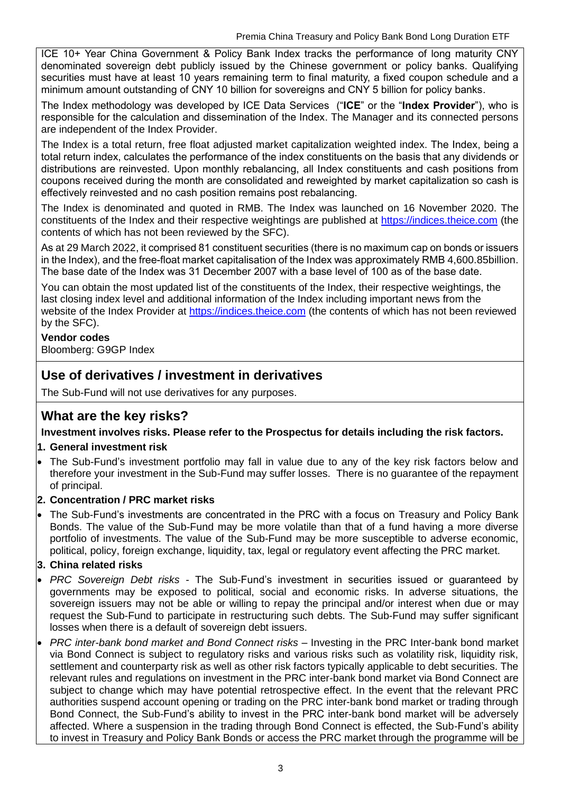ICE 10+ Year China Government & Policy Bank Index tracks the performance of long maturity CNY denominated sovereign debt publicly issued by the Chinese government or policy banks. Qualifying securities must have at least 10 years remaining term to final maturity, a fixed coupon schedule and a minimum amount outstanding of CNY 10 billion for sovereigns and CNY 5 billion for policy banks.

The Index methodology was developed by ICE Data Services ("**ICE**" or the "**Index Provider**"), who is responsible for the calculation and dissemination of the Index. The Manager and its connected persons are independent of the Index Provider.

The Index is a total return, free float adjusted market capitalization weighted index. The Index, being a total return index, calculates the performance of the index constituents on the basis that any dividends or distributions are reinvested. Upon monthly rebalancing, all Index constituents and cash positions from coupons received during the month are consolidated and reweighted by market capitalization so cash is effectively reinvested and no cash position remains post rebalancing.

The Index is denominated and quoted in RMB. The Index was launched on 16 November 2020. The constituents of the Index and their respective weightings are published at [https://indices.theice.com](https://indices.theice.com/) (the contents of which has not been reviewed by the SFC).

As at 29 March 2022, it comprised 81 constituent securities (there is no maximum cap on bonds or issuers in the Index), and the free-float market capitalisation of the Index was approximately RMB 4,600.85billion. The base date of the Index was 31 December 2007 with a base level of 100 as of the base date.

You can obtain the most updated list of the constituents of the Index, their respective weightings, the last closing index level and additional information of the Index including important news from the website of the Index Provider at [https://indices.theice.com](https://indices.theice.com/) (the contents of which has not been reviewed by the SFC).

#### **Vendor codes**

Bloomberg: G9GP Index

## **Use of derivatives / investment in derivatives**

The Sub-Fund will not use derivatives for any purposes.

## **What are the key risks?**

**Investment involves risks. Please refer to the Prospectus for details including the risk factors.**

#### **1. General investment risk**

• The Sub-Fund's investment portfolio may fall in value due to any of the key risk factors below and therefore your investment in the Sub-Fund may suffer losses. There is no guarantee of the repayment of principal.

#### **2. Concentration / PRC market risks**

• The Sub-Fund's investments are concentrated in the PRC with a focus on Treasury and Policy Bank Bonds. The value of the Sub-Fund may be more volatile than that of a fund having a more diverse portfolio of investments. The value of the Sub-Fund may be more susceptible to adverse economic, political, policy, foreign exchange, liquidity, tax, legal or regulatory event affecting the PRC market.

#### **3. China related risks**

- *PRC Sovereign Debt risks -* The Sub-Fund's investment in securities issued or guaranteed by governments may be exposed to political, social and economic risks. In adverse situations, the sovereign issuers may not be able or willing to repay the principal and/or interest when due or may request the Sub-Fund to participate in restructuring such debts. The Sub-Fund may suffer significant losses when there is a default of sovereign debt issuers.
- *PRC inter-bank bond market and Bond Connect risks* Investing in the PRC Inter-bank bond market via Bond Connect is subject to regulatory risks and various risks such as volatility risk, liquidity risk, settlement and counterparty risk as well as other risk factors typically applicable to debt securities. The relevant rules and regulations on investment in the PRC inter-bank bond market via Bond Connect are subject to change which may have potential retrospective effect. In the event that the relevant PRC authorities suspend account opening or trading on the PRC inter-bank bond market or trading through Bond Connect, the Sub-Fund's ability to invest in the PRC inter-bank bond market will be adversely affected. Where a suspension in the trading through Bond Connect is effected, the Sub-Fund's ability to invest in Treasury and Policy Bank Bonds or access the PRC market through the programme will be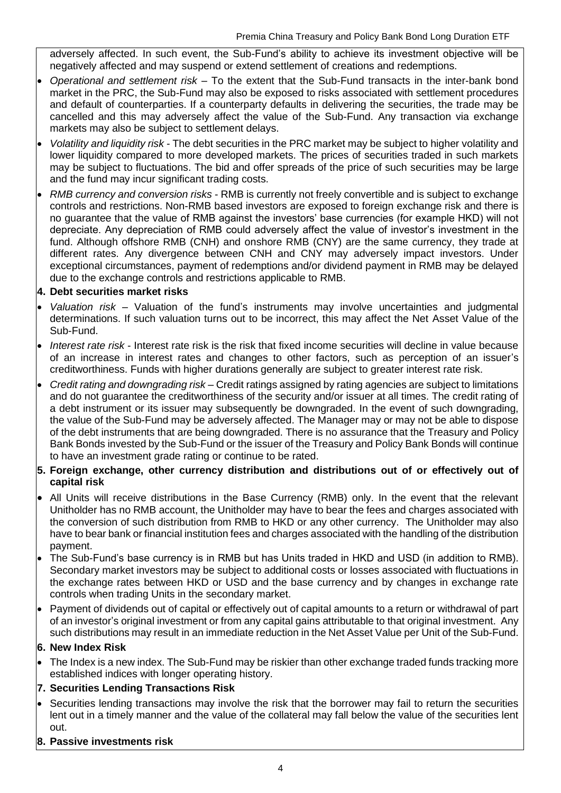adversely affected. In such event, the Sub-Fund's ability to achieve its investment objective will be negatively affected and may suspend or extend settlement of creations and redemptions.

- *Operational and settlement risk*  To the extent that the Sub-Fund transacts in the inter-bank bond market in the PRC, the Sub-Fund may also be exposed to risks associated with settlement procedures and default of counterparties. If a counterparty defaults in delivering the securities, the trade may be cancelled and this may adversely affect the value of the Sub-Fund. Any transaction via exchange markets may also be subject to settlement delays.
- *Volatility and liquidity risk -* The debt securities in the PRC market may be subject to higher volatility and lower liquidity compared to more developed markets. The prices of securities traded in such markets may be subject to fluctuations. The bid and offer spreads of the price of such securities may be large and the fund may incur significant trading costs.
- *RMB currency and conversion risks* RMB is currently not freely convertible and is subject to exchange controls and restrictions. Non-RMB based investors are exposed to foreign exchange risk and there is no guarantee that the value of RMB against the investors' base currencies (for example HKD) will not depreciate. Any depreciation of RMB could adversely affect the value of investor's investment in the fund. Although offshore RMB (CNH) and onshore RMB (CNY) are the same currency, they trade at different rates. Any divergence between CNH and CNY may adversely impact investors. Under exceptional circumstances, payment of redemptions and/or dividend payment in RMB may be delayed due to the exchange controls and restrictions applicable to RMB.

#### **4. Debt securities market risks**

- *Valuation risk* Valuation of the fund's instruments may involve uncertainties and judgmental determinations. If such valuation turns out to be incorrect, this may affect the Net Asset Value of the Sub-Fund.
- *Interest rate risk* Interest rate risk is the risk that fixed income securities will decline in value because of an increase in interest rates and changes to other factors, such as perception of an issuer's creditworthiness. Funds with higher durations generally are subject to greater interest rate risk.
- *Credit rating and downgrading risk* Credit ratings assigned by rating agencies are subject to limitations and do not guarantee the creditworthiness of the security and/or issuer at all times. The credit rating of a debt instrument or its issuer may subsequently be downgraded. In the event of such downgrading, the value of the Sub-Fund may be adversely affected. The Manager may or may not be able to dispose of the debt instruments that are being downgraded. There is no assurance that the Treasury and Policy Bank Bonds invested by the Sub-Fund or the issuer of the Treasury and Policy Bank Bonds will continue to have an investment grade rating or continue to be rated.

#### **5. Foreign exchange, other currency distribution and distributions out of or effectively out of capital risk**

- All Units will receive distributions in the Base Currency (RMB) only. In the event that the relevant Unitholder has no RMB account, the Unitholder may have to bear the fees and charges associated with the conversion of such distribution from RMB to HKD or any other currency. The Unitholder may also have to bear bank or financial institution fees and charges associated with the handling of the distribution payment.
- The Sub-Fund's base currency is in RMB but has Units traded in HKD and USD (in addition to RMB). Secondary market investors may be subject to additional costs or losses associated with fluctuations in the exchange rates between HKD or USD and the base currency and by changes in exchange rate controls when trading Units in the secondary market.
- Payment of dividends out of capital or effectively out of capital amounts to a return or withdrawal of part of an investor's original investment or from any capital gains attributable to that original investment. Any such distributions may result in an immediate reduction in the Net Asset Value per Unit of the Sub-Fund.

#### **6. New Index Risk**

• The Index is a new index. The Sub-Fund may be riskier than other exchange traded funds tracking more established indices with longer operating history.

#### **7. Securities Lending Transactions Risk**

- Securities lending transactions may involve the risk that the borrower may fail to return the securities lent out in a timely manner and the value of the collateral may fall below the value of the securities lent out.
- **8. Passive investments risk**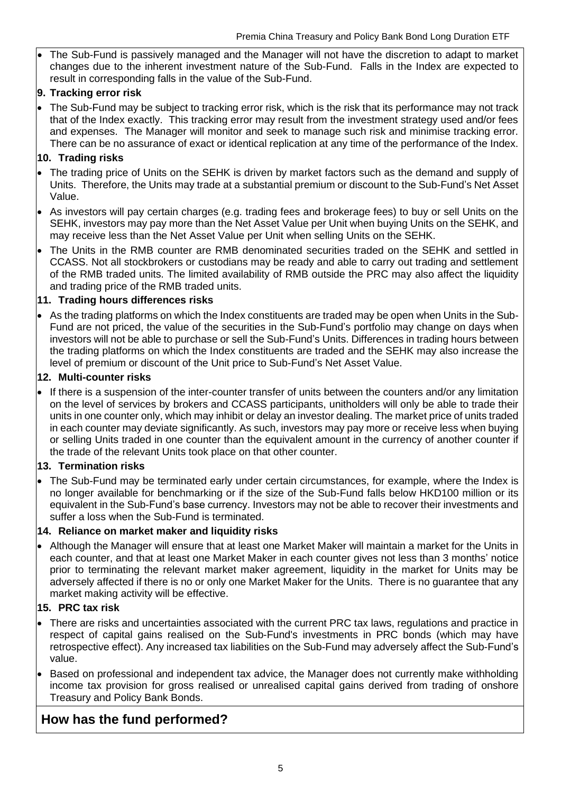• The Sub-Fund is passively managed and the Manager will not have the discretion to adapt to market changes due to the inherent investment nature of the Sub-Fund. Falls in the Index are expected to result in corresponding falls in the value of the Sub-Fund.

#### **9. Tracking error risk**

• The Sub-Fund may be subject to tracking error risk, which is the risk that its performance may not track that of the Index exactly. This tracking error may result from the investment strategy used and/or fees and expenses. The Manager will monitor and seek to manage such risk and minimise tracking error. There can be no assurance of exact or identical replication at any time of the performance of the Index.

#### **10. Trading risks**

- The trading price of Units on the SEHK is driven by market factors such as the demand and supply of Units. Therefore, the Units may trade at a substantial premium or discount to the Sub-Fund's Net Asset Value.
- As investors will pay certain charges (e.g. trading fees and brokerage fees) to buy or sell Units on the SEHK, investors may pay more than the Net Asset Value per Unit when buying Units on the SEHK, and may receive less than the Net Asset Value per Unit when selling Units on the SEHK.
- The Units in the RMB counter are RMB denominated securities traded on the SEHK and settled in CCASS. Not all stockbrokers or custodians may be ready and able to carry out trading and settlement of the RMB traded units. The limited availability of RMB outside the PRC may also affect the liquidity and trading price of the RMB traded units.

#### **11. Trading hours differences risks**

• As the trading platforms on which the Index constituents are traded may be open when Units in the Sub-Fund are not priced, the value of the securities in the Sub-Fund's portfolio may change on days when investors will not be able to purchase or sell the Sub-Fund's Units. Differences in trading hours between the trading platforms on which the Index constituents are traded and the SEHK may also increase the level of premium or discount of the Unit price to Sub-Fund's Net Asset Value.

#### **12. Multi-counter risks**

• If there is a suspension of the inter-counter transfer of units between the counters and/or any limitation on the level of services by brokers and CCASS participants, unitholders will only be able to trade their units in one counter only, which may inhibit or delay an investor dealing. The market price of units traded in each counter may deviate significantly. As such, investors may pay more or receive less when buying or selling Units traded in one counter than the equivalent amount in the currency of another counter if the trade of the relevant Units took place on that other counter.

#### **13. Termination risks**

• The Sub-Fund may be terminated early under certain circumstances, for example, where the Index is no longer available for benchmarking or if the size of the Sub-Fund falls below HKD100 million or its equivalent in the Sub-Fund's base currency. Investors may not be able to recover their investments and suffer a loss when the Sub-Fund is terminated.

#### **14. Reliance on market maker and liquidity risks**

• Although the Manager will ensure that at least one Market Maker will maintain a market for the Units in each counter, and that at least one Market Maker in each counter gives not less than 3 months' notice prior to terminating the relevant market maker agreement, liquidity in the market for Units may be adversely affected if there is no or only one Market Maker for the Units. There is no guarantee that any market making activity will be effective.

#### **15. PRC tax risk**

- There are risks and uncertainties associated with the current PRC tax laws, regulations and practice in respect of capital gains realised on the Sub-Fund's investments in PRC bonds (which may have retrospective effect). Any increased tax liabilities on the Sub-Fund may adversely affect the Sub-Fund's value.
- Based on professional and independent tax advice, the Manager does not currently make withholding income tax provision for gross realised or unrealised capital gains derived from trading of onshore Treasury and Policy Bank Bonds.

## **How has the fund performed?**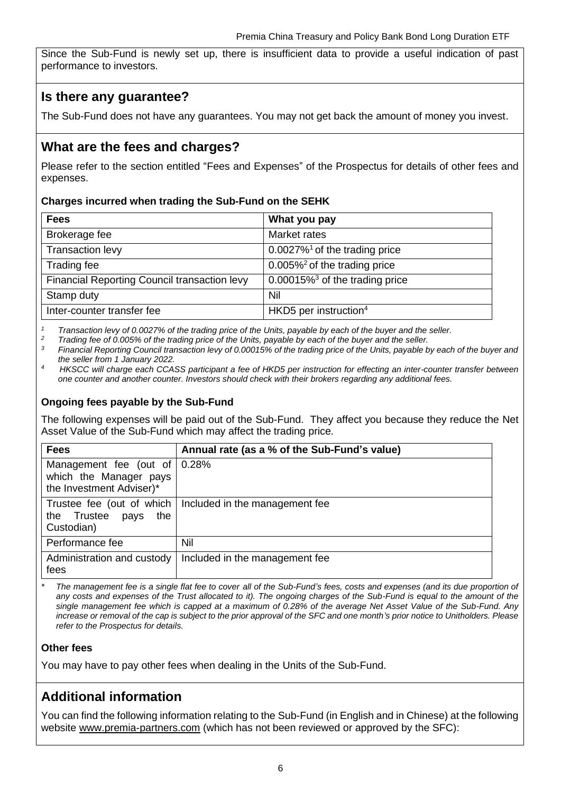Since the Sub-Fund is newly set up, there is insufficient data to provide a useful indication of past performance to investors.

## **Is there any guarantee?**

The Sub-Fund does not have any guarantees. You may not get back the amount of money you invest.

## **What are the fees and charges?**

Please refer to the section entitled "Fees and Expenses" of the Prospectus for details of other fees and expenses.

#### **Charges incurred when trading the Sub-Fund on the SEHK**

| <b>Fees</b>                                  | What you pay                                  |
|----------------------------------------------|-----------------------------------------------|
| Brokerage fee                                | Market rates                                  |
| Transaction levy                             | $0.0027\%$ <sup>1</sup> of the trading price  |
| Trading fee                                  | $0.005\%$ <sup>2</sup> of the trading price   |
| Financial Reporting Council transaction levy | $0.00015\%$ <sup>3</sup> of the trading price |
| Stamp duty                                   | Nil                                           |
| Inter-counter transfer fee                   | HKD5 per instruction <sup>4</sup>             |

*<sup>1</sup> Transaction levy of 0.0027% of the trading price of the Units, payable by each of the buyer and the seller.*

<sup>2</sup> *Trading fee of 0.005% of the trading price of the Units, payable by each of the buyer and the seller.*<br><sup>3</sup> Financial Penerting Council transportion low of 0.00015% of the trading price of the Units, payable b

*<sup>3</sup> Financial Reporting Council transaction levy of 0.00015% of the trading price of the Units, payable by each of the buyer and the seller from 1 January 2022.*

*<sup>4</sup>HKSCC will charge each CCASS participant a fee of HKD5 per instruction for effecting an inter-counter transfer between one counter and another counter. Investors should check with their brokers regarding any additional fees.*

#### **Ongoing fees payable by the Sub-Fund**

The following expenses will be paid out of the Sub-Fund. They affect you because they reduce the Net Asset Value of the Sub-Fund which may affect the trading price.

| <b>Fees</b>                                                                                | Annual rate (as a % of the Sub-Fund's value) |
|--------------------------------------------------------------------------------------------|----------------------------------------------|
| Management fee (out of $\vert$ 0.28%<br>which the Manager pays<br>the Investment Adviser)* |                                              |
| Trustee fee (out of which<br>the Trustee<br>the<br>pays<br>Custodian)                      | Included in the management fee               |
| Performance fee                                                                            | Nil                                          |
| Administration and custody<br>fees                                                         | Included in the management fee               |

*\* The management fee is a single flat fee to cover all of the Sub-Fund's fees, costs and expenses (and its due proportion of*  any costs and expenses of the Trust allocated to it). The ongoing charges of the Sub-Fund is equal to the amount of the *single management fee which is capped at a maximum of 0.28% of the average Net Asset Value of the Sub-Fund. Any increase or removal of the cap is subject to the prior approval of the SFC and one month's prior notice to Unitholders. Please refer to the Prospectus for details.*

#### **Other fees**

You may have to pay other fees when dealing in the Units of the Sub-Fund.

## **Additional information**

You can find the following information relating to the Sub-Fund (in English and in Chinese) at the following website [www.premia-partners.com](http://www.premia-partners.com/) (which has not been reviewed or approved by the SFC):